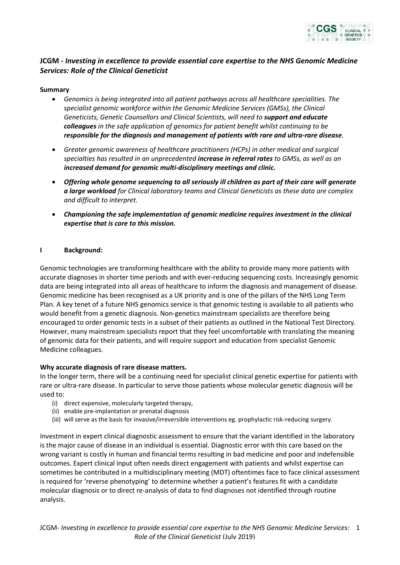

# **JCGM -** *Investing in excellence to provide essential core expertise to the NHS Genomic Medicine Services: Role of the Clinical Geneticist*

### **Summary**

- *Genomics is being integrated into all patient pathways across all healthcare specialities. The specialist genomic workforce within the Genomic Medicine Services (GMSs), the Clinical Geneticists, Genetic Counsellors and Clinical Scientists, will need to support and educate colleagues in the safe application of genomics for patient benefit whilst continuing to be responsible for the diagnosis and management of patients with rare and ultra-rare disease.*
- *Greater genomic awareness of healthcare practitioners (HCPs) in other medical and surgical specialties has resulted in an unprecedented increase in referral rates to GMSs, as well as an increased demand for genomic multi-disciplinary meetings and clinic.*
- *Offering whole genome sequencing to all seriously ill children as part of their care will generate a large workload for Clinical laboratory teams and Clinical Geneticists as these data are complex and difficult to interpret.*
- *Championing the safe implementation of genomic medicine requires investment in the clinical expertise that is core to this mission.*

#### **I Background:**

Genomic technologies are transforming healthcare with the ability to provide many more patients with accurate diagnoses in shorter time periods and with ever-reducing sequencing costs. Increasingly genomic data are being integrated into all areas of healthcare to inform the diagnosis and management of disease. Genomic medicine has been recognised as a UK priority and is one of the pillars of the NHS Long Term Plan. A key tenet of a future NHS genomics service is that genomic testing is available to all patients who would benefit from a genetic diagnosis. Non-genetics mainstream specialists are therefore being encouraged to order genomic tests in a subset of their patients as outlined in the National Test Directory. However, many mainstream specialists report that they feel uncomfortable with translating the meaning of genomic data for their patients, and will require support and education from specialist Genomic Medicine colleagues.

#### **Why accurate diagnosis of rare disease matters.**

In the longer term, there will be a continuing need for specialist clinical genetic expertise for patients with rare or ultra-rare disease. In particular to serve those patients whose molecular genetic diagnosis will be used to:

- (i) direct expensive, molecularly targeted therapy,
- (ii) enable pre-implantation or prenatal diagnosis
- (iii) will serve as the basis for invasive/irreversible interventions eg. prophylactic risk-reducing surgery.

Investment in expert clinical diagnostic assessment to ensure that the variant identified in the laboratory is the major cause of disease in an individual is essential. Diagnostic error with this care based on the wrong variant is costly in human and financial terms resulting in bad medicine and poor and indefensible outcomes. Expert clinical input often needs direct engagement with patients and whilst expertise can sometimes be contributed in a multidisciplinary meeting (MDT) oftentimes face to face clinical assessment is required for 'reverse phenotyping' to determine whether a patient's features fit with a candidate molecular diagnosis or to direct re-analysis of data to find diagnoses not identified through routine analysis.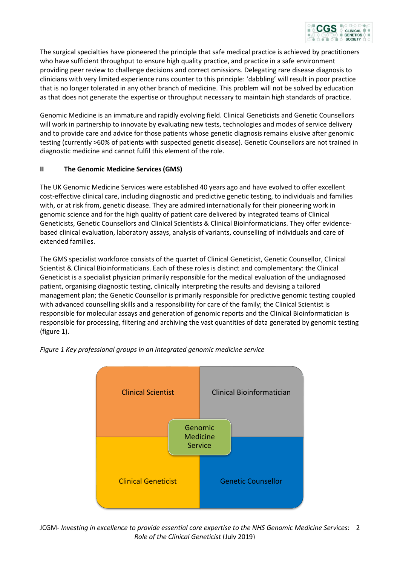

The surgical specialties have pioneered the principle that safe medical practice is achieved by practitioners who have sufficient throughput to ensure high quality practice, and practice in a safe environment providing peer review to challenge decisions and correct omissions. Delegating rare disease diagnosis to clinicians with very limited experience runs counter to this principle: 'dabbling' will result in poor practice that is no longer tolerated in any other branch of medicine. This problem will not be solved by education as that does not generate the expertise or throughput necessary to maintain high standards of practice.

Genomic Medicine is an immature and rapidly evolving field. Clinical Geneticists and Genetic Counsellors will work in partnership to innovate by evaluating new tests, technologies and modes of service delivery and to provide care and advice for those patients whose genetic diagnosis remains elusive after genomic testing (currently >60% of patients with suspected genetic disease). Genetic Counsellors are not trained in diagnostic medicine and cannot fulfil this element of the role.

### **II The Genomic Medicine Services (GMS)**

The UK Genomic Medicine Services were established 40 years ago and have evolved to offer excellent cost-effective clinical care, including diagnostic and predictive genetic testing, to individuals and families with, or at risk from, genetic disease. They are admired internationally for their pioneering work in genomic science and for the high quality of patient care delivered by integrated teams of Clinical Geneticists, Genetic Counsellors and Clinical Scientists & Clinical Bioinformaticians. They offer evidencebased clinical evaluation, laboratory assays, analysis of variants, counselling of individuals and care of extended families.

The GMS specialist workforce consists of the quartet of Clinical Geneticist, Genetic Counsellor, Clinical Scientist & Clinical Bioinformaticians. Each of these roles is distinct and complementary: the Clinical Geneticist is a specialist physician primarily responsible for the medical evaluation of the undiagnosed patient, organising diagnostic testing, clinically interpreting the results and devising a tailored management plan; the Genetic Counsellor is primarily responsible for predictive genomic testing coupled with advanced counselling skills and a responsibility for care of the family; the Clinical Scientist is responsible for molecular assays and generation of genomic reports and the Clinical Bioinformatician is responsible for processing, filtering and archiving the vast quantities of data generated by genomic testing (figure 1).



*Figure 1 Key professional groups in an integrated genomic medicine service*

JCGM- *Investing in excellence to provide essential core expertise to the NHS Genomic Medicine Services*: 2 *Role of the Clinical Geneticist* (July 2019)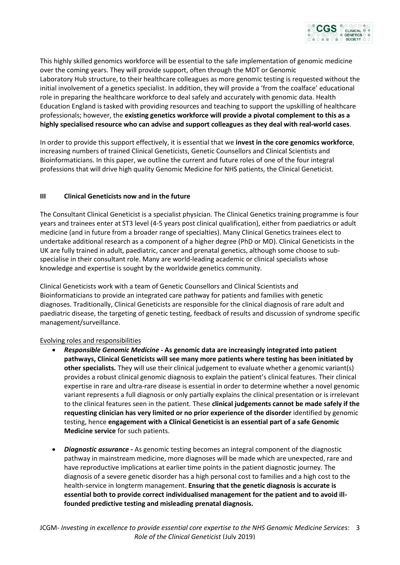

This highly skilled genomics workforce will be essential to the safe implementation of genomic medicine over the coming years. They will provide support, often through the MDT or Genomic Laboratory Hub structure, to their healthcare colleagues as more genomic testing is requested without the initial involvement of a genetics specialist. In addition, they will provide a 'from the coalface' educational role in preparing the healthcare workforce to deal safely and accurately with genomic data. Health Education England is tasked with providing resources and teaching to support the upskilling of healthcare professionals; however, the **existing genetics workforce will provide a pivotal complement to this as a highly specialised resource who can advise and support colleagues as they deal with real-world cases**.

In order to provide this support effectively, it is essential that we **invest in the core genomics workforce**, increasing numbers of trained Clinical Geneticists, Genetic Counsellors and Clinical Scientists and Bioinformaticians. In this paper, we outline the current and future roles of one of the four integral professions that will drive high quality Genomic Medicine for NHS patients, the Clinical Geneticist.

# **III Clinical Geneticists now and in the future**

The Consultant Clinical Geneticist is a specialist physician. The Clinical Genetics training programme is four years and trainees enter at ST3 level (4-5 years post clinical qualification), either from paediatrics or adult medicine (and in future from a broader range of specialties). Many Clinical Genetics trainees elect to undertake additional research as a component of a higher degree (PhD or MD). Clinical Geneticists in the UK are fully trained in adult, paediatric, cancer and prenatal genetics, although some choose to subspecialise in their consultant role. Many are world-leading academic or clinical specialists whose knowledge and expertise is sought by the worldwide genetics community.

Clinical Geneticists work with a team of Genetic Counsellors and Clinical Scientists and Bioinformaticians to provide an integrated care pathway for patients and families with genetic diagnoses. Traditionally, Clinical Geneticists are responsible for the clinical diagnosis of rare adult and paediatric disease, the targeting of genetic testing, feedback of results and discussion of syndrome specific management/surveillance.

# Evolving roles and responsibilities

- *Responsible Genomic Medicine -* **As genomic data are increasingly integrated into patient pathways, Clinical Geneticists will see many more patients where testing has been initiated by other specialists.** They will use their clinical judgement to evaluate whether a genomic variant(s) provides a robust clinical genomic diagnosis to explain the patient's clinical features. Their clinical expertise in rare and ultra-rare disease is essential in order to determine whether a novel genomic variant represents a full diagnosis or only partially explains the clinical presentation or is irrelevant to the clinical features seen in the patient. These **clinical judgements cannot be made safely if the requesting clinician has very limited or no prior experience of the disorder** identified by genomic testing, hence **engagement with a Clinical Geneticist is an essential part of a safe Genomic Medicine service** for such patients.
- *Diagnostic assurance -* As genomic testing becomes an integral component of the diagnostic pathway in mainstream medicine, more diagnoses will be made which are unexpected, rare and have reproductive implications at earlier time points in the patient diagnostic journey. The diagnosis of a severe genetic disorder has a high personal cost to families and a high cost to the health-service in longterm management. **Ensuring that the genetic diagnosis is accurate is essential both to provide correct individualised management for the patient and to avoid illfounded predictive testing and misleading prenatal diagnosis.**